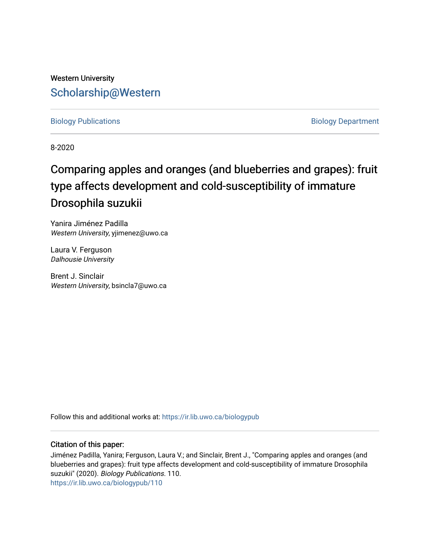# Western University [Scholarship@Western](https://ir.lib.uwo.ca/)

[Biology Publications](https://ir.lib.uwo.ca/biologypub) **Biology Department** 

8-2020

# Comparing apples and oranges (and blueberries and grapes): fruit type affects development and cold-susceptibility of immature Drosophila suzukii

Yanira Jiménez Padilla Western University, yjimenez@uwo.ca

Laura V. Ferguson Dalhousie University

Brent J. Sinclair Western University, bsincla7@uwo.ca

Follow this and additional works at: [https://ir.lib.uwo.ca/biologypub](https://ir.lib.uwo.ca/biologypub?utm_source=ir.lib.uwo.ca%2Fbiologypub%2F110&utm_medium=PDF&utm_campaign=PDFCoverPages)

## Citation of this paper:

Jiménez Padilla, Yanira; Ferguson, Laura V.; and Sinclair, Brent J., "Comparing apples and oranges (and blueberries and grapes): fruit type affects development and cold-susceptibility of immature Drosophila suzukii" (2020). Biology Publications. 110. [https://ir.lib.uwo.ca/biologypub/110](https://ir.lib.uwo.ca/biologypub/110?utm_source=ir.lib.uwo.ca%2Fbiologypub%2F110&utm_medium=PDF&utm_campaign=PDFCoverPages)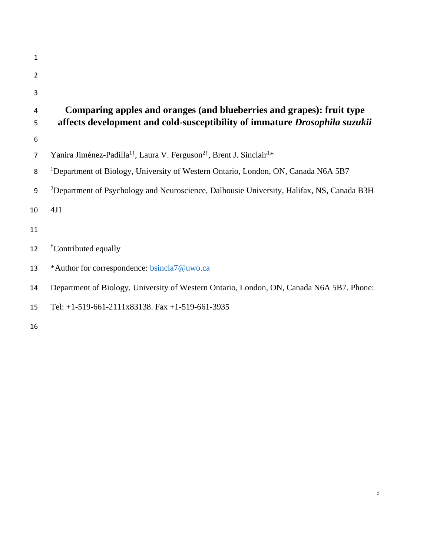| 1              |                                                                                                          |
|----------------|----------------------------------------------------------------------------------------------------------|
| $\overline{2}$ |                                                                                                          |
| 3              |                                                                                                          |
| 4              | Comparing apples and oranges (and blueberries and grapes): fruit type                                    |
| 5              | affects development and cold-susceptibility of immature Drosophila suzukii                               |
| 6              |                                                                                                          |
| $\overline{7}$ | Yanira Jiménez-Padilla <sup>1†</sup> , Laura V. Ferguson <sup>2†</sup> , Brent J. Sinclair <sup>1*</sup> |
| 8              | <sup>1</sup> Department of Biology, University of Western Ontario, London, ON, Canada N6A 5B7            |
| 9              | <sup>2</sup> Department of Psychology and Neuroscience, Dalhousie University, Halifax, NS, Canada B3H    |
| 10             | 4J1                                                                                                      |
| 11             |                                                                                                          |
| 12             | <sup>†</sup> Contributed equally                                                                         |
| 13             | *Author for correspondence: bsincla7@uwo.ca                                                              |
| 14             | Department of Biology, University of Western Ontario, London, ON, Canada N6A 5B7. Phone:                 |
| 15             | Tel: $+1-519-661-2111x83138$ . Fax $+1-519-661-3935$                                                     |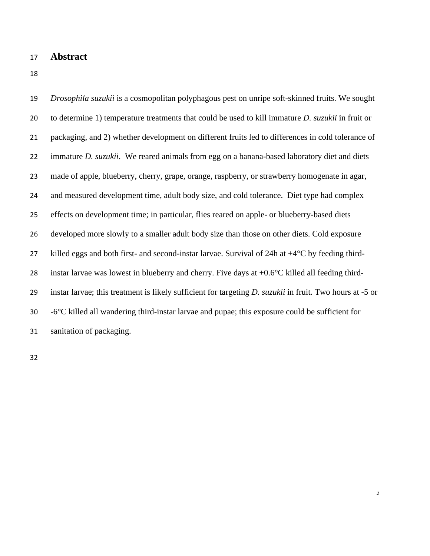# **Abstract**

 *Drosophila suzukii* is a cosmopolitan polyphagous pest on unripe soft-skinned fruits. We sought to determine 1) temperature treatments that could be used to kill immature *D. suzukii* in fruit or packaging, and 2) whether development on different fruits led to differences in cold tolerance of immature *D. suzukii*. We reared animals from egg on a banana-based laboratory diet and diets made of apple, blueberry, cherry, grape, orange, raspberry, or strawberry homogenate in agar, and measured development time, adult body size, and cold tolerance. Diet type had complex effects on development time; in particular, flies reared on apple- or blueberry-based diets developed more slowly to a smaller adult body size than those on other diets. Cold exposure 27 killed eggs and both first- and second-instar larvae. Survival of 24h at  $+4^{\circ}$ C by feeding third- instar larvae was lowest in blueberry and cherry. Five days at +0.6°C killed all feeding third- instar larvae; this treatment is likely sufficient for targeting *D. suzukii* in fruit. Two hours at -5 or -6°C killed all wandering third-instar larvae and pupae; this exposure could be sufficient for sanitation of packaging.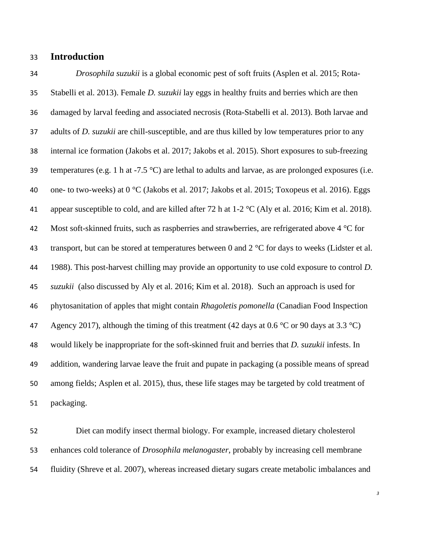# **Introduction**

 *Drosophila suzukii* is a global economic pest of soft fruits (Asplen et al. 2015; Rota- Stabelli et al. 2013). Female *D. suzukii* lay eggs in healthy fruits and berries which are then damaged by larval feeding and associated necrosis (Rota-Stabelli et al. 2013). Both larvae and adults of *D. suzukii* are chill-susceptible, and are thus killed by low temperatures prior to any internal ice formation (Jakobs et al. 2017; Jakobs et al. 2015). Short exposures to sub-freezing 39 temperatures (e.g. 1 h at  $-7.5 \text{ °C}$ ) are lethal to adults and larvae, as are prolonged exposures (i.e. 40 one- to two-weeks) at  $0^{\circ}$ C (Jakobs et al. 2017; Jakobs et al. 2015; Toxopeus et al. 2016). Eggs 41 appear susceptible to cold, and are killed after 72 h at  $1-2$  °C (Aly et al. 2016; Kim et al. 2018). 42 Most soft-skinned fruits, such as raspberries and strawberries, are refrigerated above 4 °C for 43 transport, but can be stored at temperatures between 0 and  $2^{\circ}$ C for days to weeks (Lidster et al. 1988). This post-harvest chilling may provide an opportunity to use cold exposure to control *D. suzukii* (also discussed by Aly et al. 2016; Kim et al. 2018). Such an approach is used for phytosanitation of apples that might contain *Rhagoletis pomonella* (Canadian Food Inspection 47 Agency 2017), although the timing of this treatment (42 days at 0.6 °C or 90 days at 3.3 °C) would likely be inappropriate for the soft-skinned fruit and berries that *D. suzukii* infests. In addition, wandering larvae leave the fruit and pupate in packaging (a possible means of spread among fields; Asplen et al. 2015), thus, these life stages may be targeted by cold treatment of packaging.

 Diet can modify insect thermal biology. For example, increased dietary cholesterol enhances cold tolerance of *Drosophila melanogaster*, probably by increasing cell membrane fluidity (Shreve et al. 2007), whereas increased dietary sugars create metabolic imbalances and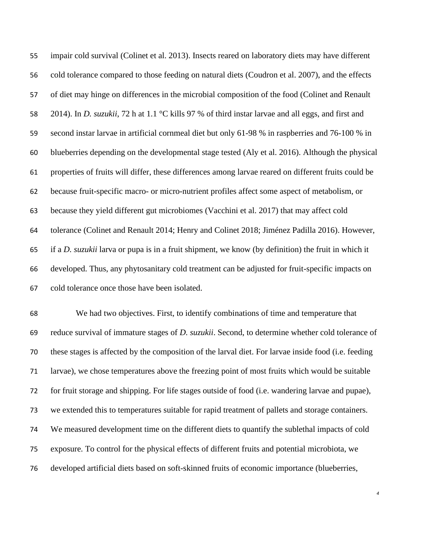impair cold survival (Colinet et al. 2013). Insects reared on laboratory diets may have different cold tolerance compared to those feeding on natural diets (Coudron et al. 2007), and the effects of diet may hinge on differences in the microbial composition of the food (Colinet and Renault 2014). In *D. suzukii*, 72 h at 1.1 °C kills 97 % of third instar larvae and all eggs, and first and second instar larvae in artificial cornmeal diet but only 61-98 % in raspberries and 76-100 % in blueberries depending on the developmental stage tested (Aly et al. 2016). Although the physical properties of fruits will differ, these differences among larvae reared on different fruits could be because fruit-specific macro- or micro-nutrient profiles affect some aspect of metabolism, or because they yield different gut microbiomes (Vacchini et al. 2017) that may affect cold tolerance (Colinet and Renault 2014; Henry and Colinet 2018; Jiménez Padilla 2016). However, if a *D. suzukii* larva or pupa is in a fruit shipment, we know (by definition) the fruit in which it developed. Thus, any phytosanitary cold treatment can be adjusted for fruit-specific impacts on cold tolerance once those have been isolated.

 We had two objectives. First, to identify combinations of time and temperature that reduce survival of immature stages of *D. suzukii*. Second, to determine whether cold tolerance of these stages is affected by the composition of the larval diet. For larvae inside food (i.e. feeding larvae), we chose temperatures above the freezing point of most fruits which would be suitable for fruit storage and shipping. For life stages outside of food (i.e. wandering larvae and pupae), we extended this to temperatures suitable for rapid treatment of pallets and storage containers. We measured development time on the different diets to quantify the sublethal impacts of cold exposure. To control for the physical effects of different fruits and potential microbiota, we developed artificial diets based on soft-skinned fruits of economic importance (blueberries,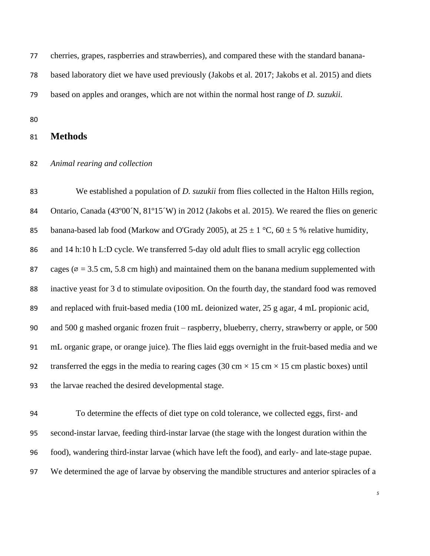cherries, grapes, raspberries and strawberries), and compared these with the standard banana-

based laboratory diet we have used previously (Jakobs et al. 2017; Jakobs et al. 2015) and diets

based on apples and oranges, which are not within the normal host range of *D. suzukii.*

# **Methods**

#### *Animal rearing and collection*

 We established a population of *D. suzukii* from flies collected in the Halton Hills region, 84 Ontario, Canada (43°00´N, 81°15´W) in 2012 (Jakobs et al. 2015). We reared the flies on generic 85 banana-based lab food (Markow and O'Grady 2005), at  $25 \pm 1$  °C,  $60 \pm 5$  % relative humidity, and 14 h:10 h L:D cycle. We transferred 5-day old adult flies to small acrylic egg collection 87 cages ( $\varnothing$  = 3.5 cm, 5.8 cm high) and maintained them on the banana medium supplemented with inactive yeast for 3 d to stimulate oviposition. On the fourth day, the standard food was removed and replaced with fruit-based media (100 mL deionized water, 25 g agar, 4 mL propionic acid, and 500 g mashed organic frozen fruit – raspberry, blueberry, cherry, strawberry or apple, or 500 mL organic grape, or orange juice). The flies laid eggs overnight in the fruit-based media and we 92 transferred the eggs in the media to rearing cages (30 cm  $\times$  15 cm  $\times$  15 cm plastic boxes) until the larvae reached the desired developmental stage.

 To determine the effects of diet type on cold tolerance, we collected eggs, first- and second-instar larvae, feeding third-instar larvae (the stage with the longest duration within the food), wandering third-instar larvae (which have left the food), and early- and late-stage pupae. We determined the age of larvae by observing the mandible structures and anterior spiracles of a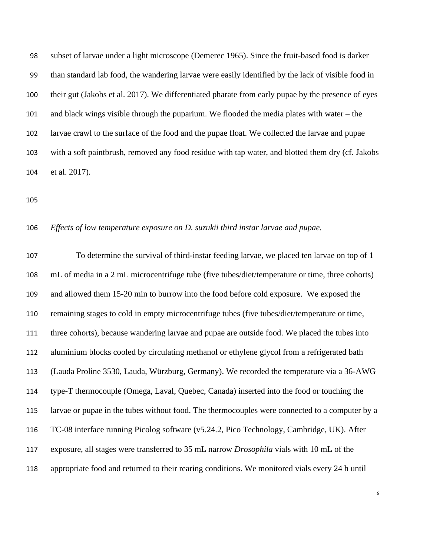subset of larvae under a light microscope (Demerec 1965). Since the fruit-based food is darker than standard lab food, the wandering larvae were easily identified by the lack of visible food in their gut (Jakobs et al. 2017). We differentiated pharate from early pupae by the presence of eyes and black wings visible through the puparium. We flooded the media plates with water – the larvae crawl to the surface of the food and the pupae float. We collected the larvae and pupae with a soft paintbrush, removed any food residue with tap water, and blotted them dry (cf. Jakobs et al. 2017).

#### *Effects of low temperature exposure on D. suzukii third instar larvae and pupae.*

 To determine the survival of third-instar feeding larvae, we placed ten larvae on top of 1 mL of media in a 2 mL microcentrifuge tube (five tubes/diet/temperature or time, three cohorts) and allowed them 15-20 min to burrow into the food before cold exposure. We exposed the remaining stages to cold in empty microcentrifuge tubes (five tubes/diet/temperature or time, three cohorts), because wandering larvae and pupae are outside food. We placed the tubes into aluminium blocks cooled by circulating methanol or ethylene glycol from a refrigerated bath (Lauda Proline 3530, Lauda, Würzburg, Germany). We recorded the temperature via a 36-AWG type-T thermocouple (Omega, Laval, Quebec, Canada) inserted into the food or touching the larvae or pupae in the tubes without food. The thermocouples were connected to a computer by a TC-08 interface running Picolog software (v5.24.2, Pico Technology, Cambridge, UK). After exposure, all stages were transferred to 35 mL narrow *Drosophila* vials with 10 mL of the appropriate food and returned to their rearing conditions. We monitored vials every 24 h until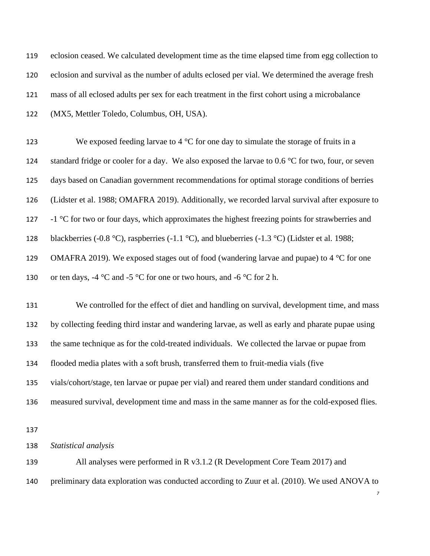| 119 | eclosion ceased. We calculated development time as the time elapsed time from egg collection to    |
|-----|----------------------------------------------------------------------------------------------------|
| 120 | eclosion and survival as the number of adults eclosed per vial. We determined the average fresh    |
| 121 | mass of all eclosed adults per sex for each treatment in the first cohort using a microbalance     |
| 122 | (MX5, Mettler Toledo, Columbus, OH, USA).                                                          |
| 123 | We exposed feeding larvae to 4 $\rm{^{\circ}C}$ for one day to simulate the storage of fruits in a |
| 124 | standard fridge or cooler for a day. We also exposed the larvae to 0.6 °C for two, four, or seven  |
| 125 | days based on Canadian government recommendations for optimal storage conditions of berries        |
| 126 | (Lidster et al. 1988; OMAFRA 2019). Additionally, we recorded larval survival after exposure to    |
| 127 | -1 °C for two or four days, which approximates the highest freezing points for strawberries and    |
| 128 | blackberries (-0.8 °C), raspberries (-1.1 °C), and blueberries (-1.3 °C) (Lidster et al. 1988;     |
| 129 | OMAFRA 2019). We exposed stages out of food (wandering larvae and pupae) to 4 $\degree$ C for one  |
| 130 | or ten days, -4 °C and -5 °C for one or two hours, and -6 °C for 2 h.                              |
| 131 | We controlled for the effect of diet and handling on survival, development time, and mass          |
| 132 | by collecting feeding third instar and wandering larvae, as well as early and pharate pupae using  |
| 133 | the same technique as for the cold-treated individuals. We collected the larvae or pupae from      |
| 134 | flooded media plates with a soft brush, transferred them to fruit-media vials (five                |
| 135 | vials/cohort/stage, ten larvae or pupae per vial) and reared them under standard conditions and    |
| 136 | measured survival, development time and mass in the same manner as for the cold-exposed flies.     |
| 137 |                                                                                                    |
| 138 | Statistical analysis                                                                               |
| 139 | All analyses were performed in R v3.1.2 (R Development Core Team 2017) and                         |
| 140 | preliminary data exploration was conducted according to Zuur et al. (2010). We used ANOVA to<br>7  |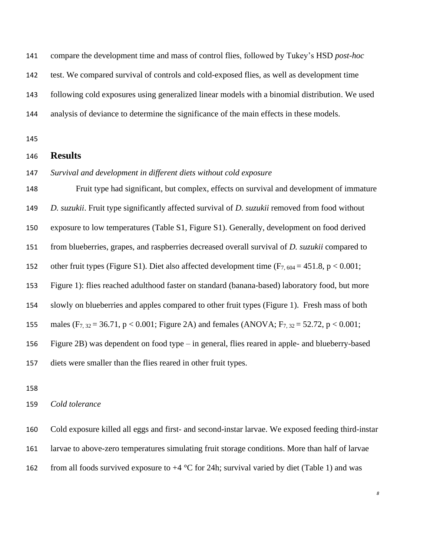compare the development time and mass of control flies, followed by Tukey's HSD *post-hoc*

test. We compared survival of controls and cold-exposed flies, as well as development time

following cold exposures using generalized linear models with a binomial distribution. We used

analysis of deviance to determine the significance of the main effects in these models.

## **Results**

#### *Survival and development in different diets without cold exposure*

 Fruit type had significant, but complex, effects on survival and development of immature *D. suzukii*. Fruit type significantly affected survival of *D. suzukii* removed from food without exposure to low temperatures (Table S1, Figure S1). Generally, development on food derived from blueberries, grapes, and raspberries decreased overall survival of *D. suzukii* compared to 152 other fruit types (Figure S1). Diet also affected development time  $(F_{7, 604} = 451.8, p < 0.001;$  Figure 1): flies reached adulthood faster on standard (banana-based) laboratory food, but more slowly on blueberries and apples compared to other fruit types (Figure 1). Fresh mass of both 155 males (F<sub>7, 32</sub> = 36.71, p < 0.001; Figure 2A) and females (ANOVA; F<sub>7, 32</sub> = 52.72, p < 0.001; Figure 2B) was dependent on food type – in general, flies reared in apple- and blueberry-based diets were smaller than the flies reared in other fruit types.

#### *Cold tolerance*

 Cold exposure killed all eggs and first- and second-instar larvae. We exposed feeding third-instar larvae to above-zero temperatures simulating fruit storage conditions. More than half of larvae 162 from all foods survived exposure to  $+4$  °C for 24h; survival varied by diet (Table 1) and was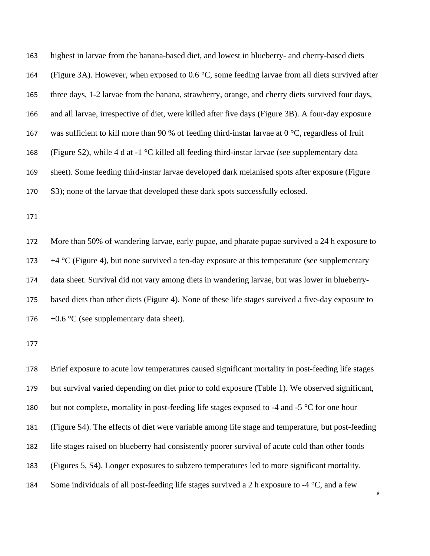highest in larvae from the banana-based diet, and lowest in blueberry- and cherry-based diets (Figure 3A). However, when exposed to 0.6 °C, some feeding larvae from all diets survived after three days, 1-2 larvae from the banana, strawberry, orange, and cherry diets survived four days, and all larvae, irrespective of diet, were killed after five days (Figure 3B). A four-day exposure 167 was sufficient to kill more than 90 % of feeding third-instar larvae at  $0^{\circ}$ C, regardless of fruit 168 (Figure S2), while 4 d at -1  $\degree$ C killed all feeding third-instar larvae (see supplementary data sheet). Some feeding third-instar larvae developed dark melanised spots after exposure (Figure S3); none of the larvae that developed these dark spots successfully eclosed.

 More than 50% of wandering larvae, early pupae, and pharate pupae survived a 24 h exposure to  $+4$  °C (Figure 4), but none survived a ten-day exposure at this temperature (see supplementary data sheet. Survival did not vary among diets in wandering larvae, but was lower in blueberry- based diets than other diets (Figure 4). None of these life stages survived a five-day exposure to  $+0.6 \degree$ C (see supplementary data sheet).

 Brief exposure to acute low temperatures caused significant mortality in post-feeding life stages but survival varied depending on diet prior to cold exposure (Table 1). We observed significant, 180 but not complete, mortality in post-feeding life stages exposed to -4 and -5 °C for one hour (Figure S4). The effects of diet were variable among life stage and temperature, but post-feeding life stages raised on blueberry had consistently poorer survival of acute cold than other foods (Figures 5, S4). Longer exposures to subzero temperatures led to more significant mortality. 184 Some individuals of all post-feeding life stages survived a 2 h exposure to  $-4$  °C, and a few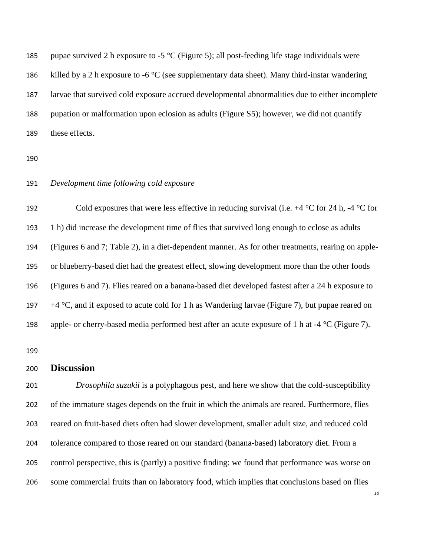185 pupae survived 2 h exposure to -5  $\mathrm{^{\circ}C}$  (Figure 5); all post-feeding life stage individuals were 186 killed by a 2 h exposure to -6  $\degree$ C (see supplementary data sheet). Many third-instar wandering larvae that survived cold exposure accrued developmental abnormalities due to either incomplete pupation or malformation upon eclosion as adults (Figure S5); however, we did not quantify these effects.

#### *Development time following cold exposure*

192 Cold exposures that were less effective in reducing survival (i.e.  $+4 \degree C$  for 24 h,  $-4 \degree C$  for 1 h) did increase the development time of flies that survived long enough to eclose as adults (Figures 6 and 7; Table 2), in a diet-dependent manner. As for other treatments, rearing on apple- or blueberry-based diet had the greatest effect, slowing development more than the other foods (Figures 6 and 7). Flies reared on a banana-based diet developed fastest after a 24 h exposure to  $+4 °C$ , and if exposed to acute cold for 1 h as Wandering larvae (Figure 7), but pupae reared on apple- or cherry-based media performed best after an acute exposure of 1 h at -4 °C (Figure 7).

#### **Discussion**

 *Drosophila suzukii* is a polyphagous pest, and here we show that the cold-susceptibility of the immature stages depends on the fruit in which the animals are reared. Furthermore, flies reared on fruit-based diets often had slower development, smaller adult size, and reduced cold tolerance compared to those reared on our standard (banana-based) laboratory diet. From a control perspective, this is (partly) a positive finding: we found that performance was worse on some commercial fruits than on laboratory food, which implies that conclusions based on flies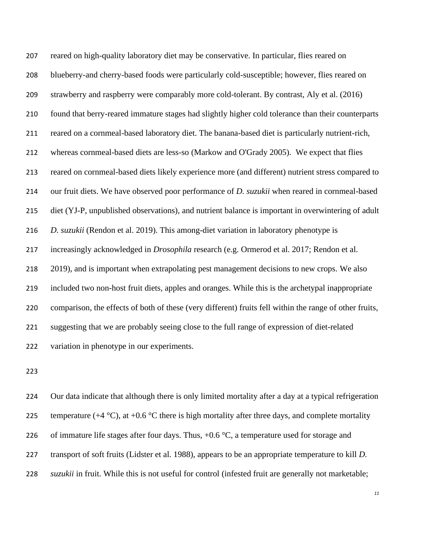reared on high-quality laboratory diet may be conservative. In particular, flies reared on blueberry-and cherry-based foods were particularly cold-susceptible; however, flies reared on strawberry and raspberry were comparably more cold-tolerant. By contrast, Aly et al. (2016) found that berry-reared immature stages had slightly higher cold tolerance than their counterparts reared on a cornmeal-based laboratory diet. The banana-based diet is particularly nutrient-rich, whereas cornmeal-based diets are less-so (Markow and O'Grady 2005). We expect that flies reared on cornmeal-based diets likely experience more (and different) nutrient stress compared to our fruit diets. We have observed poor performance of *D. suzukii* when reared in cornmeal-based diet (YJ-P, unpublished observations), and nutrient balance is important in overwintering of adult *D. suzukii* (Rendon et al. 2019). This among-diet variation in laboratory phenotype is increasingly acknowledged in *Drosophila* research (e.g. Ormerod et al. 2017; Rendon et al. 2019), and is important when extrapolating pest management decisions to new crops. We also included two non-host fruit diets, apples and oranges. While this is the archetypal inappropriate comparison, the effects of both of these (very different) fruits fell within the range of other fruits, suggesting that we are probably seeing close to the full range of expression of diet-related variation in phenotype in our experiments.

 Our data indicate that although there is only limited mortality after a day at a typical refrigeration 225 temperature (+4  $^{\circ}$ C), at +0.6  $^{\circ}$ C there is high mortality after three days, and complete mortality 226 of immature life stages after four days. Thus,  $+0.6 \degree C$ , a temperature used for storage and transport of soft fruits (Lidster et al. 1988), appears to be an appropriate temperature to kill *D. suzukii* in fruit. While this is not useful for control (infested fruit are generally not marketable;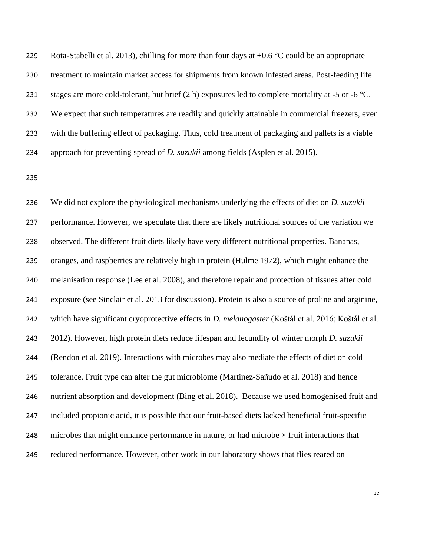229 Rota-Stabelli et al. 2013), chilling for more than four days at  $+0.6 \degree C$  could be an appropriate treatment to maintain market access for shipments from known infested areas. Post-feeding life 231 stages are more cold-tolerant, but brief  $(2 h)$  exposures led to complete mortality at -5 or -6 °C. We expect that such temperatures are readily and quickly attainable in commercial freezers, even with the buffering effect of packaging. Thus, cold treatment of packaging and pallets is a viable approach for preventing spread of *D. suzukii* among fields (Asplen et al. 2015).

 We did not explore the physiological mechanisms underlying the effects of diet on *D. suzukii*  performance. However, we speculate that there are likely nutritional sources of the variation we observed. The different fruit diets likely have very different nutritional properties. Bananas, oranges, and raspberries are relatively high in protein (Hulme 1972), which might enhance the melanisation response (Lee et al. 2008), and therefore repair and protection of tissues after cold exposure (see Sinclair et al. 2013 for discussion). Protein is also a source of proline and arginine, which have significant cryoprotective effects in *D. melanogaster* (Koštál et al. 2016; Koštál et al. 2012). However, high protein diets reduce lifespan and fecundity of winter morph *D. suzukii* (Rendon et al. 2019). Interactions with microbes may also mediate the effects of diet on cold tolerance. Fruit type can alter the gut microbiome (Martinez-Sañudo et al. 2018) and hence nutrient absorption and development (Bing et al. 2018). Because we used homogenised fruit and included propionic acid, it is possible that our fruit-based diets lacked beneficial fruit-specific 248 microbes that might enhance performance in nature, or had microbe  $\times$  fruit interactions that reduced performance. However, other work in our laboratory shows that flies reared on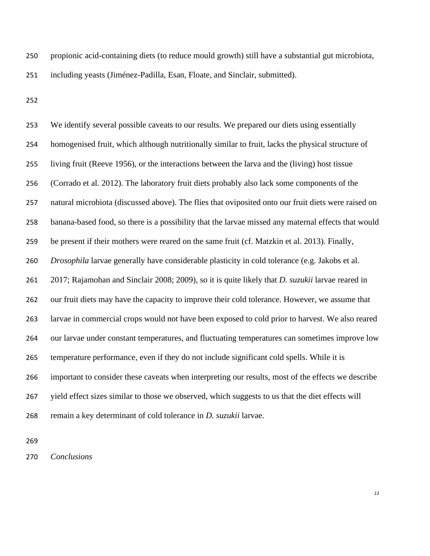propionic acid-containing diets (to reduce mould growth) still have a substantial gut microbiota, including yeasts (Jiménez-Padilla, Esan, Floate, and Sinclair, submitted).

 We identify several possible caveats to our results. We prepared our diets using essentially homogenised fruit, which although nutritionally similar to fruit, lacks the physical structure of living fruit (Reeve 1956), or the interactions between the larva and the (living) host tissue (Corrado et al. 2012). The laboratory fruit diets probably also lack some components of the natural microbiota (discussed above). The flies that oviposited onto our fruit diets were raised on banana-based food, so there is a possibility that the larvae missed any maternal effects that would be present if their mothers were reared on the same fruit (cf. Matzkin et al. 2013). Finally, *Drosophila* larvae generally have considerable plasticity in cold tolerance (e.g. Jakobs et al. 2017; Rajamohan and Sinclair 2008; 2009), so it is quite likely that *D. suzukii* larvae reared in our fruit diets may have the capacity to improve their cold tolerance. However, we assume that larvae in commercial crops would not have been exposed to cold prior to harvest. We also reared our larvae under constant temperatures, and fluctuating temperatures can sometimes improve low temperature performance, even if they do not include significant cold spells. While it is important to consider these caveats when interpreting our results, most of the effects we describe yield effect sizes similar to those we observed, which suggests to us that the diet effects will remain a key determinant of cold tolerance in *D. suzukii* larvae.

*Conclusions*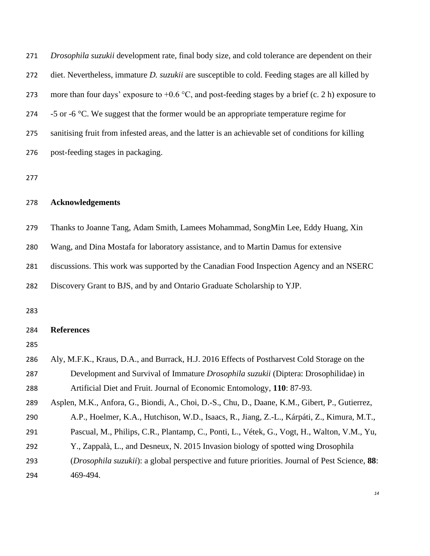| 271 | Drosophila suzukii development rate, final body size, and cold tolerance are dependent on their          |
|-----|----------------------------------------------------------------------------------------------------------|
| 272 | diet. Nevertheless, immature <i>D. suzukii</i> are susceptible to cold. Feeding stages are all killed by |
| 273 | more than four days' exposure to $+0.6$ °C, and post-feeding stages by a brief (c. 2 h) exposure to      |
| 274 | -5 or -6 $\degree$ C. We suggest that the former would be an appropriate temperature regime for          |
| 275 | sanitising fruit from infested areas, and the latter is an achievable set of conditions for killing      |
| 276 | post-feeding stages in packaging.                                                                        |
| 277 |                                                                                                          |
| 278 | <b>Acknowledgements</b>                                                                                  |
| 279 | Thanks to Joanne Tang, Adam Smith, Lamees Mohammad, SongMin Lee, Eddy Huang, Xin                         |
| 280 | Wang, and Dina Mostafa for laboratory assistance, and to Martin Damus for extensive                      |
| 281 | discussions. This work was supported by the Canadian Food Inspection Agency and an NSERC                 |
| 282 | Discovery Grant to BJS, and by and Ontario Graduate Scholarship to YJP.                                  |
| 283 |                                                                                                          |
| 284 | <b>References</b>                                                                                        |
| 285 |                                                                                                          |
| 286 | Aly, M.F.K., Kraus, D.A., and Burrack, H.J. 2016 Effects of Postharvest Cold Storage on the              |
| 287 | Development and Survival of Immature Drosophila suzukii (Diptera: Drosophilidae) in                      |
| 288 | Artificial Diet and Fruit. Journal of Economic Entomology, 110: 87-93.                                   |
| 289 | Asplen, M.K., Anfora, G., Biondi, A., Choi, D.-S., Chu, D., Daane, K.M., Gibert, P., Gutierrez,          |
| 290 | A.P., Hoelmer, K.A., Hutchison, W.D., Isaacs, R., Jiang, Z.-L., Kárpáti, Z., Kimura, M.T.,               |
| 291 | Pascual, M., Philips, C.R., Plantamp, C., Ponti, L., Vétek, G., Vogt, H., Walton, V.M., Yu,              |
| 292 | Y., Zappalà, L., and Desneux, N. 2015 Invasion biology of spotted wing Drosophila                        |
| 293 | (Drosophila suzukii): a global perspective and future priorities. Journal of Pest Science, 88:           |
| 294 | 469-494.                                                                                                 |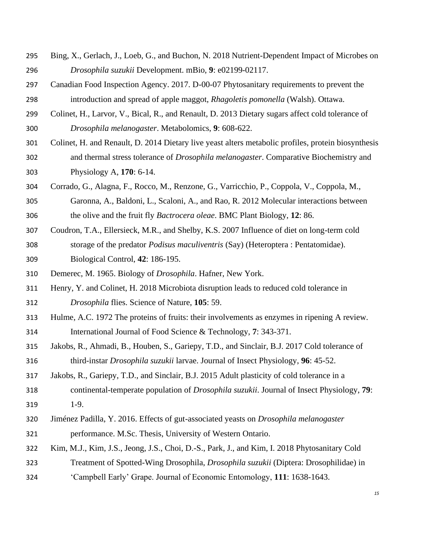- Bing, X., Gerlach, J., Loeb, G., and Buchon, N. 2018 Nutrient-Dependent Impact of Microbes on *Drosophila suzukii* Development. mBio, **9**: e02199-02117.
- Canadian Food Inspection Agency. 2017. D-00-07 Phytosanitary requirements to prevent the introduction and spread of apple maggot, *Rhagoletis pomonella* (Walsh). Ottawa.
- Colinet, H., Larvor, V., Bical, R., and Renault, D. 2013 Dietary sugars affect cold tolerance of *Drosophila melanogaster*. Metabolomics, **9**: 608-622.
- Colinet, H. and Renault, D. 2014 Dietary live yeast alters metabolic profiles, protein biosynthesis and thermal stress tolerance of *Drosophila melanogaster*. Comparative Biochemistry and Physiology A, **170**: 6-14.
- Corrado, G., Alagna, F., Rocco, M., Renzone, G., Varricchio, P., Coppola, V., Coppola, M., Garonna, A., Baldoni, L., Scaloni, A., and Rao, R. 2012 Molecular interactions between the olive and the fruit fly *Bactrocera oleae*. BMC Plant Biology, **12**: 86.
- Coudron, T.A., Ellersieck, M.R., and Shelby, K.S. 2007 Influence of diet on long-term cold storage of the predator *Podisus maculiventris* (Say) (Heteroptera : Pentatomidae). Biological Control, **42**: 186-195.
- Demerec, M. 1965. Biology of *Drosophila*. Hafner, New York.
- Henry, Y. and Colinet, H. 2018 Microbiota disruption leads to reduced cold tolerance in *Drosophila* flies. Science of Nature, **105**: 59.
- Hulme, A.C. 1972 The proteins of fruits: their involvements as enzymes in ripening A review. International Journal of Food Science & Technology, **7**: 343-371.
- Jakobs, R., Ahmadi, B., Houben, S., Gariepy, T.D., and Sinclair, B.J. 2017 Cold tolerance of third-instar *Drosophila suzukii* larvae. Journal of Insect Physiology, **96**: 45-52.
- Jakobs, R., Gariepy, T.D., and Sinclair, B.J. 2015 Adult plasticity of cold tolerance in a continental-temperate population of *Drosophila suzukii*. Journal of Insect Physiology, **79**:
- 1-9.
- Jiménez Padilla, Y. 2016. Effects of gut-associated yeasts on *Drosophila melanogaster*  performance. M.Sc. Thesis, University of Western Ontario.
- Kim, M.J., Kim, J.S., Jeong, J.S., Choi, D.-S., Park, J., and Kim, I. 2018 Phytosanitary Cold
- Treatment of Spotted-Wing Drosophila, *Drosophila suzukii* (Diptera: Drosophilidae) in
- 'Campbell Early' Grape. Journal of Economic Entomology, **111**: 1638-1643.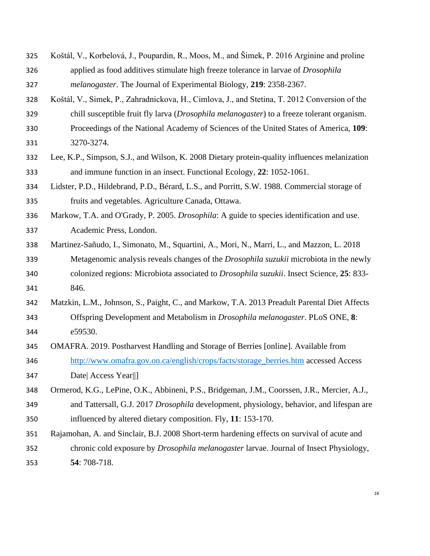- Koštál, V., Korbelová, J., Poupardin, R., Moos, M., and Šimek, P. 2016 Arginine and proline applied as food additives stimulate high freeze tolerance in larvae of *Drosophila melanogaster*. The Journal of Experimental Biology, **219**: 2358-2367.
- Koštál, V., Simek, P., Zahradnickova, H., Cimlova, J., and Stetina, T. 2012 Conversion of the
- chill susceptible fruit fly larva (*Drosophila melanogaster*) to a freeze tolerant organism.
- Proceedings of the National Academy of Sciences of the United States of America, **109**: 3270-3274.
- Lee, K.P., Simpson, S.J., and Wilson, K. 2008 Dietary protein-quality influences melanization and immune function in an insect. Functional Ecology, **22**: 1052-1061.
- Lidster, P.D., Hildebrand, P.D., Bérard, L.S., and Porritt, S.W. 1988. Commercial storage of fruits and vegetables. Agriculture Canada, Ottawa.
- Markow, T.A. and O'Grady, P. 2005. *Drosophila*: A guide to species identification and use. Academic Press, London.
- Martinez-Sañudo, I., Simonato, M., Squartini, A., Mori, N., Marri, L., and Mazzon, L. 2018 Metagenomic analysis reveals changes of the *Drosophila suzukii* microbiota in the newly colonized regions: Microbiota associated to *Drosophila suzukii*. Insect Science, **25**: 833- 846.
- Matzkin, L.M., Johnson, S., Paight, C., and Markow, T.A. 2013 Preadult Parental Diet Affects Offspring Development and Metabolism in *Drosophila melanogaster*. PLoS ONE, **8**: e59530.
- OMAFRA. 2019. Postharvest Handling and Storage of Berries [online]. Available from
- [http://www.omafra.gov.on.ca/english/crops/facts/storage\\_berries.htm](http://www.omafra.gov.on.ca/english/crops/facts/storage_berries.htm) accessed Access Date| Access Year||]
- Ormerod, K.G., LePine, O.K., Abbineni, P.S., Bridgeman, J.M., Coorssen, J.R., Mercier, A.J.,
- and Tattersall, G.J. 2017 *Drosophila* development, physiology, behavior, and lifespan are influenced by altered dietary composition. Fly, **11**: 153-170.
- Rajamohan, A. and Sinclair, B.J. 2008 Short-term hardening effects on survival of acute and chronic cold exposure by *Drosophila melanogaster* larvae. Journal of Insect Physiology,
- **54**: 708-718.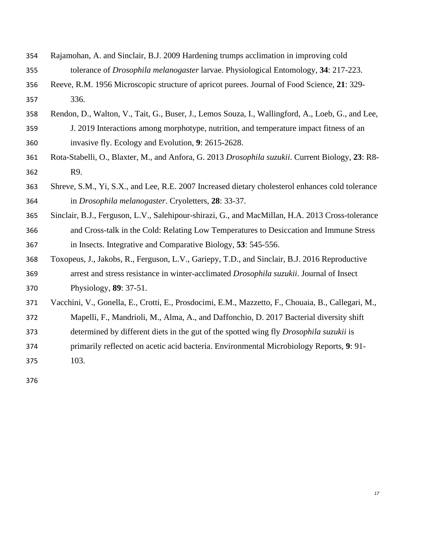- Rajamohan, A. and Sinclair, B.J. 2009 Hardening trumps acclimation in improving cold tolerance of *Drosophila melanogaster* larvae. Physiological Entomology, **34**: 217-223.
- Reeve, R.M. 1956 Microscopic structure of apricot purees. Journal of Food Science, **21**: 329- 336.
- Rendon, D., Walton, V., Tait, G., Buser, J., Lemos Souza, I., Wallingford, A., Loeb, G., and Lee,
- J. 2019 Interactions among morphotype, nutrition, and temperature impact fitness of an invasive fly. Ecology and Evolution, **9**: 2615-2628.
- Rota-Stabelli, O., Blaxter, M., and Anfora, G. 2013 *Drosophila suzukii*. Current Biology, **23**: R8- R9.
- Shreve, S.M., Yi, S.X., and Lee, R.E. 2007 Increased dietary cholesterol enhances cold tolerance in *Drosophila melanogaster*. Cryoletters, **28**: 33-37.
- Sinclair, B.J., Ferguson, L.V., Salehipour-shirazi, G., and MacMillan, H.A. 2013 Cross-tolerance and Cross-talk in the Cold: Relating Low Temperatures to Desiccation and Immune Stress in Insects. Integrative and Comparative Biology, **53**: 545-556.
- Toxopeus, J., Jakobs, R., Ferguson, L.V., Gariepy, T.D., and Sinclair, B.J. 2016 Reproductive arrest and stress resistance in winter-acclimated *Drosophila suzukii*. Journal of Insect Physiology, **89**: 37-51.
- Vacchini, V., Gonella, E., Crotti, E., Prosdocimi, E.M., Mazzetto, F., Chouaia, B., Callegari, M., Mapelli, F., Mandrioli, M., Alma, A., and Daffonchio, D. 2017 Bacterial diversity shift
- determined by different diets in the gut of the spotted wing fly *Drosophila suzukii* is
- primarily reflected on acetic acid bacteria. Environmental Microbiology Reports, **9**: 91-

103.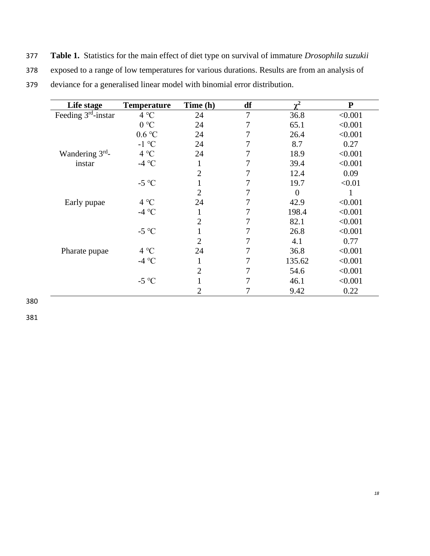377 **Table 1.** Statistics for the main effect of diet type on survival of immature *Drosophila suzukii*  378 exposed to a range of low temperatures for various durations. Results are from an analysis of 379 deviance for a generalised linear model with binomial error distribution.

| Life stage            | <b>Temperature</b>        | Time (h)       | df | $\gamma^2$     | ${\bf P}$ |
|-----------------------|---------------------------|----------------|----|----------------|-----------|
| Feeding $3rd$ -instar | $4^{\circ}C$              | 24             | 7  | 36.8           | < 0.001   |
|                       | 0 °C                      | 24             | 7  | 65.1           | < 0.001   |
|                       | $0.6\,^{\circ}\mathrm{C}$ | 24             | 7  | 26.4           | < 0.001   |
|                       | $-1$ °C                   | 24             | 7  | 8.7            | 0.27      |
| Wandering $3rd$ -     | $4^{\circ}C$              | 24             | 7  | 18.9           | < 0.001   |
| instar                | -4 °C                     | 1              | 7  | 39.4           | < 0.001   |
|                       |                           | 2              | 7  | 12.4           | 0.09      |
|                       | -5 $\mathrm{^{\circ}C}$   |                | 7  | 19.7           | < 0.01    |
|                       |                           | 2              |    | $\overline{0}$ |           |
| Early pupae           | $4^{\circ}C$              | 24             | 7  | 42.9           | < 0.001   |
|                       | -4 °C                     | $\mathbf{I}$   | 7  | 198.4          | < 0.001   |
|                       |                           | 2              | 7  | 82.1           | < 0.001   |
|                       | $-5$ °C                   |                | 7  | 26.8           | < 0.001   |
|                       |                           | 2              | 7  | 4.1            | 0.77      |
| Pharate pupae         | 4 °C                      | 24             | 7  | 36.8           | < 0.001   |
|                       | -4 $^{\circ}$ C           | 1              | 7  | 135.62         | < 0.001   |
|                       |                           | $\overline{2}$ | 7  | 54.6           | < 0.001   |
|                       | -5 $^{\circ}$ C           |                | 7  | 46.1           | < 0.001   |
|                       |                           | $\overline{2}$ |    | 9.42           | 0.22      |

380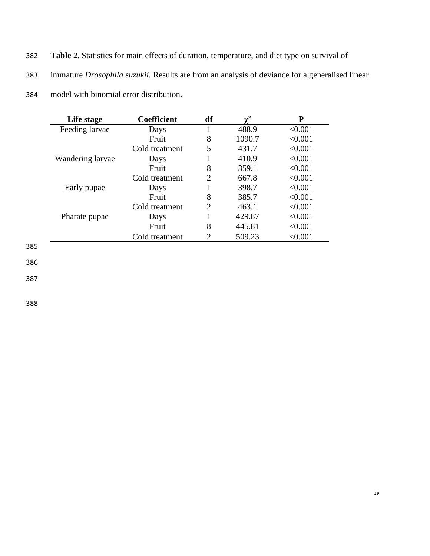- 382 **Table 2.** Statistics for main effects of duration, temperature, and diet type on survival of
- 383 immature *Drosophila suzukii.* Results are from an analysis of deviance for a generalised linear
- 384 model with binomial error distribution.

| Life stage       | <b>Coefficient</b> | df             |        | P       |
|------------------|--------------------|----------------|--------|---------|
| Feeding larvae   | Days               |                | 488.9  | < 0.001 |
|                  | Fruit              | 8              | 1090.7 | < 0.001 |
|                  | Cold treatment     | 5              | 431.7  | < 0.001 |
| Wandering larvae | Days               |                | 410.9  | < 0.001 |
|                  | Fruit              | 8              | 359.1  | < 0.001 |
|                  | Cold treatment     | 2              | 667.8  | < 0.001 |
| Early pupae      | Days               |                | 398.7  | < 0.001 |
|                  | Fruit              | 8              | 385.7  | < 0.001 |
|                  | Cold treatment     | $\overline{2}$ | 463.1  | < 0.001 |
| Pharate pupae    | Days               |                | 429.87 | < 0.001 |
|                  | Fruit              | 8              | 445.81 | < 0.001 |
|                  | Cold treatment     |                | 509.23 | < 0.001 |
|                  |                    |                |        |         |

385

386

387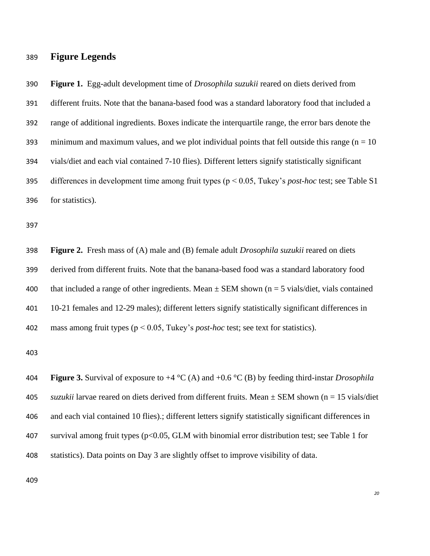# **Figure Legends**

 **Figure 1.** Egg-adult development time of *Drosophila suzukii* reared on diets derived from different fruits. Note that the banana-based food was a standard laboratory food that included a range of additional ingredients. Boxes indicate the interquartile range, the error bars denote the 393 minimum and maximum values, and we plot individual points that fell outside this range ( $n = 10$ ) vials/diet and each vial contained 7-10 flies). Different letters signify statistically significant differences in development time among fruit types (p < 0.05, Tukey's *post-hoc* test; see Table S1 for statistics).

 **Figure 2.** Fresh mass of (A) male and (B) female adult *Drosophila suzukii* reared on diets derived from different fruits. Note that the banana-based food was a standard laboratory food 400 that included a range of other ingredients. Mean  $\pm$  SEM shown (n = 5 vials/diet, vials contained 10-21 females and 12-29 males); different letters signify statistically significant differences in mass among fruit types (p < 0.05, Tukey's *post-hoc* test; see text for statistics).

 **Figure 3.** Survival of exposure to +4 °C (A) and +0.6 °C (B) by feeding third-instar *Drosophila suzukii* larvae reared on diets derived from different fruits. Mean ± SEM shown (n = 15 vials/diet and each vial contained 10 flies).; different letters signify statistically significant differences in survival among fruit types (p<0.05, GLM with binomial error distribution test; see Table 1 for statistics). Data points on Day 3 are slightly offset to improve visibility of data.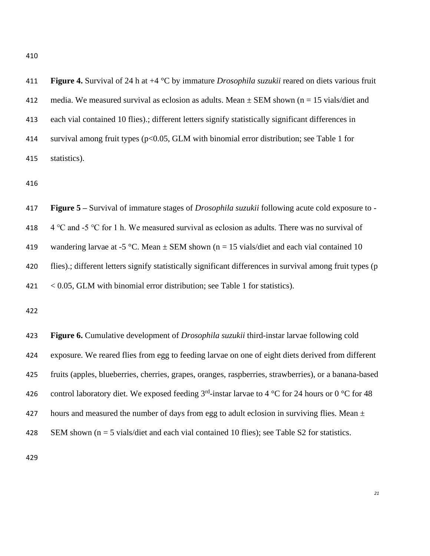| 411 | <b>Figure 4.</b> Survival of 24 h at $+4$ °C by immature <i>Drosophila suzukii</i> reared on diets various fruit |
|-----|------------------------------------------------------------------------------------------------------------------|
| 412 | media. We measured survival as eclosion as adults. Mean $\pm$ SEM shown (n = 15 vials/diet and                   |
| 413 | each vial contained 10 flies).; different letters signify statistically significant differences in               |
| 414 | survival among fruit types ( $p<0.05$ , GLM with binomial error distribution; see Table 1 for                    |
| 415 | statistics).                                                                                                     |

 **Figure 5 –** Survival of immature stages of *Drosophila suzukii* following acute cold exposure to - 418 4 °C and -5 °C for 1 h. We measured survival as eclosion as adults. There was no survival of 419 wandering larvae at -5 °C. Mean  $\pm$  SEM shown (n = 15 vials/diet and each vial contained 10 420 flies).; different letters signify statistically significant differences in survival among fruit types (p < 0.05, GLM with binomial error distribution; see Table 1 for statistics).

 **Figure 6.** Cumulative development of *Drosophila suzukii* third-instar larvae following cold exposure. We reared flies from egg to feeding larvae on one of eight diets derived from different fruits (apples, blueberries, cherries, grapes, oranges, raspberries, strawberries), or a banana-based 426 control laboratory diet. We exposed feeding  $3<sup>rd</sup>$ -instar larvae to 4 °C for 24 hours or 0 °C for 48 427 hours and measured the number of days from egg to adult eclosion in surviving flies. Mean  $\pm$ SEM shown (n = 5 vials/diet and each vial contained 10 flies); see Table S2 for statistics.